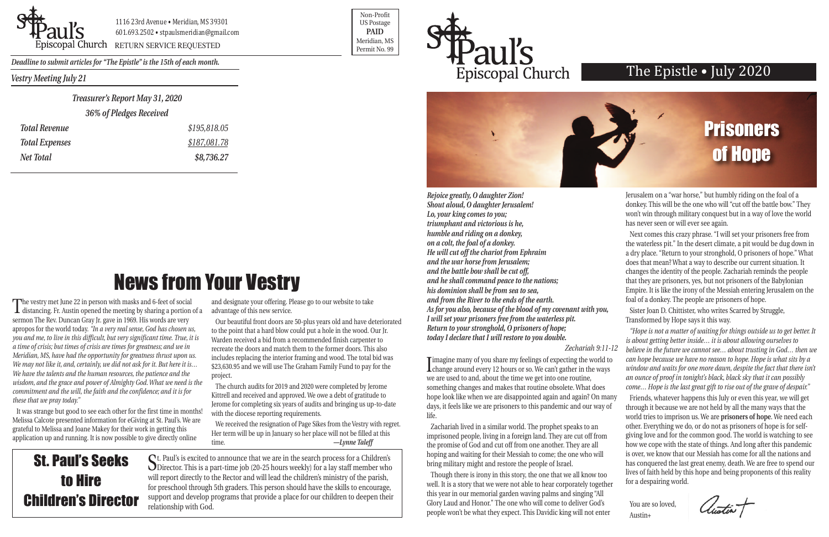*Vestry Meeting July 21*



1116 23rd Avenue • Meridian, MS 39301 601.693.2502 • stpaulsmeridian@gmail.com

Proposition of the extent of the Contract of the Contract of the Contract of the Contract of the Permit No. 99

Non-Profit US Postage **PAID** Meridian, MS



*Deadline to submit articles for "The Epistle" is the 15th of each month.* 

### The Epistle • July 2020

News from Your Vestry

*Rejoice greatly, O daughter Zion! Shout aloud, O daughter Jerusalem! Lo, your king comes to you; triumphant and victorious is he, humble and riding on a donkey, on a colt, the foal of a donkey. He will cut off the chariot from Ephraim and the war horse from Jerusalem; and the battle bow shall be cut off, and he shall command peace to the nations; his dominion shall be from sea to sea, and from the River to the ends of the earth. As for you also, because of the blood of my covenant with you, I will set your prisoners free from the waterless pit. Return to your stronghold, O prisoners of hope; today I declare that I will restore to you double.*

#### *Zechariah 9:11-12*

I magine many or you share my reeings or expecting the world to<br>change around every 12 hours or so. We can't gather in the ways **T** imagine many of you share my feelings of expecting the world to we are used to and, about the time we get into one routine, something changes and makes that routine obsolete. What does hope look like when we are disappointed again and again? On many days, it feels like we are prisoners to this pandemic and our way of life. *window and waits for one more dawn, despite the fact that there isn't an ounce of proof in tonight's black, black sky that it can possibly come… Hope is the last great gift to rise out of the grave of despair."*  Friends, whatever happens this July or even this year, we will get through it because we are not held by all the many ways that the

well. It is a story that we were not able to hear corporately together this year in our memorial garden waving palms and singing "All Glory Laud and Honor." The one who will come to deliver God's people won't be what they expect. This Davidic king will not enter

Jerusalem on a "war horse," but humbly riding on the foal of a donkey. This will be the one who will "cut off the battle bow." They won't win through military conquest but in a way of love the world has never seen or will ever see again.

Next comes this crazy phrase. "I will set your prisoners free from the waterless pit." In the desert climate, a pit would be dug down in a dry place. "Return to your stronghold, O prisoners of hope." What does that mean? What a way to describe our current situation. It changes the identity of the people. Zachariah reminds the people that they are prisoners, yes, but not prisoners of the Babylonian Empire. It is like the irony of the Messiah entering Jerusalem on the foal of a donkey. The people are prisoners of hope.

Zachariah lived in a similar world. The prophet speaks to an imprisoned people, living in a foreign land. They are cut off from the promise of God and cut off from one another. They are all hoping and waiting for their Messiah to come; the one who will bring military might and restore the people of Israel. Though there is irony in this story, the one that we all know too world tries to imprison us. We are **prisoners of hope**. We need each other. Everything we do, or do not as prisoners of hope is for selfgiving love and for the common good. The world is watching to see how we cope with the state of things. And long after this pandemic is over, we know that our Messiah has come for all the nations and has conquered the last great enemy, death. We are free to spend our lives of faith held by this hope and being proponents of this reality for a despairing world.

Sister Joan D. Chittister, who writes Scarred by Struggle, Transformed by Hope says it this way.

*"Hope is not a matter of waiting for things outside us to get better. It is about getting better inside… it is about allowing ourselves to believe in the future we cannot see… about trusting in God… then we can hope because we have no reason to hope. Hope is what sits by a*

You are so loved, Austin+

Austin T

The vestry met June 22 in person with masks and 6-feet of social distancing. Fr. Austin opened the meeting by sharing a portion of a sermon The Rev. Duncan Gray Jr. gave in 1969. His words are very apropos for the world today. *"In a very real sense, God has chosen us, you and me, to live in this difficult, but very significant time. True, it is a time of crisis; but times of crisis are times for greatness; and we in Meridian, MS, have had the opportunity for greatness thrust upon us. We may not like it, and, certainly, we did not ask for it. But here it is… We have the talents and the human resources, the patience and the wisdom, and the grace and power of Almighty God. What we need is the commitment and the will, the faith and the confidence; and it is for these that we pray today."*

It was strange but good to see each other for the first time in months! Melissa Calcote presented information for eGiving at St. Paul's. We are grateful to Melissa and Joane Makey for their work in getting this application up and running. It is now possible to give directly online

and designate your offering. Please go to our website to take advantage of this new service.

Our beautiful front doors are 50-plus years old and have deteriorated to the point that a hard blow could put a hole in the wood. Our Jr. Warden received a bid from a recommended finish carpenter to recreate the doors and match them to the former doors. This also includes replacing the interior framing and wood. The total bid was \$23,630.95 and we will use The Graham Family Fund to pay for the project.

The church audits for 2019 and 2020 were completed by Jerome Kittrell and received and approved. We owe a debt of gratitude to Jerome for completing six years of audits and bringing us up-to-date with the diocese reporting requirements.

We received the resignation of Page Sikes from the Vestry with regret. Her term will be up in January so her place will not be filled at this time. *—Lynne Taleff*

St. Paul's is excited to announce that we are in the search process for a Children's Director. This is a part-time job (20-25 hours weekly) for a lay staff member who will report directly to the Rector and will lead the children's ministry of the parish, for preschool through 5th graders. This person should have the skills to encourage, support and develop programs that provide a place for our children to deepen their relationship with God.

## St. Paul's Seeks to Hire Children's Director



| Treasurer's Report May 31, 2020 |              |  |
|---------------------------------|--------------|--|
| 36% of Pledges Received         |              |  |
| <b>Total Revenue</b>            | \$195,818.05 |  |
| <b>Total Expenses</b>           | \$187,081.78 |  |

*Net Total \$8,736.27*